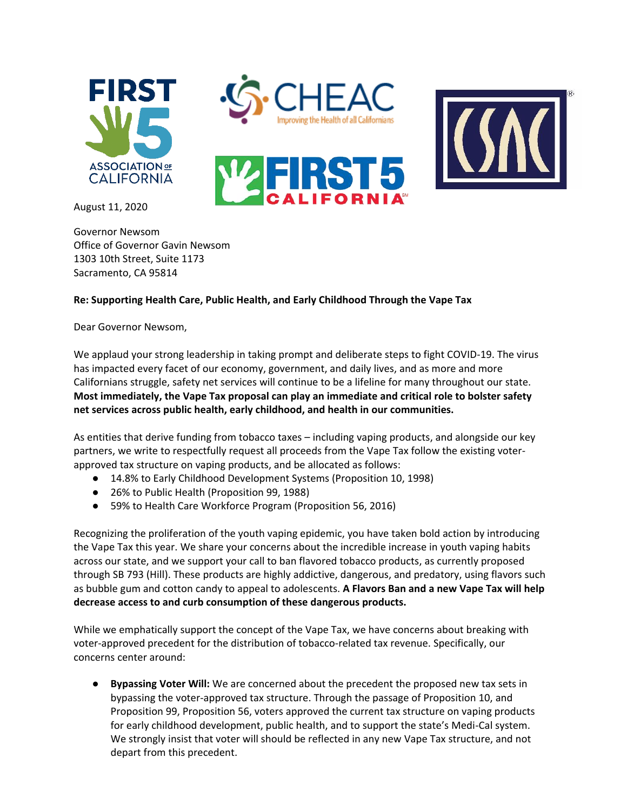





August 11, 2020

Governor Newsom Office of Governor Gavin Newsom 1303 10th Street, Suite 1173 Sacramento, CA 95814

## **Re: Supporting Health Care, Public Health, and Early Childhood Through the Vape Tax**

Dear Governor Newsom,

We applaud your strong leadership in taking prompt and deliberate steps to fight COVID-19. The virus has impacted every facet of our economy, government, and daily lives, and as more and more Californians struggle, safety net services will continue to be a lifeline for many throughout our state. **Most immediately, the Vape Tax proposal can play an immediate and critical role to bolster safety net services across public health, early childhood, and health in our communities.**

As entities that derive funding from tobacco taxes – including vaping products, and alongside our key partners, we write to respectfully request all proceeds from the Vape Tax follow the existing voterapproved tax structure on vaping products, and be allocated as follows:

- 14.8% to Early Childhood Development Systems (Proposition 10, 1998)
- 26% to Public Health (Proposition 99, 1988)
- 59% to Health Care Workforce Program (Proposition 56, 2016)

Recognizing the proliferation of the youth vaping epidemic, you have taken bold action by introducing the Vape Tax this year. We share your concerns about the incredible increase in youth vaping habits across our state, and we support your call to ban flavored tobacco products, as currently proposed through SB 793 (Hill). These products are highly addictive, dangerous, and predatory, using flavors such as bubble gum and cotton candy to appeal to adolescents. **A Flavors Ban and a new Vape Tax will help decrease access to and curb consumption of these dangerous products.** 

While we emphatically support the concept of the Vape Tax, we have concerns about breaking with voter-approved precedent for the distribution of tobacco-related tax revenue. Specifically, our concerns center around:

● **Bypassing Voter Will:** We are concerned about the precedent the proposed new tax sets in bypassing the voter-approved tax structure. Through the passage of Proposition 10, and Proposition 99, Proposition 56, voters approved the current tax structure on vaping products for early childhood development, public health, and to support the state's Medi-Cal system. We strongly insist that voter will should be reflected in any new Vape Tax structure, and not depart from this precedent.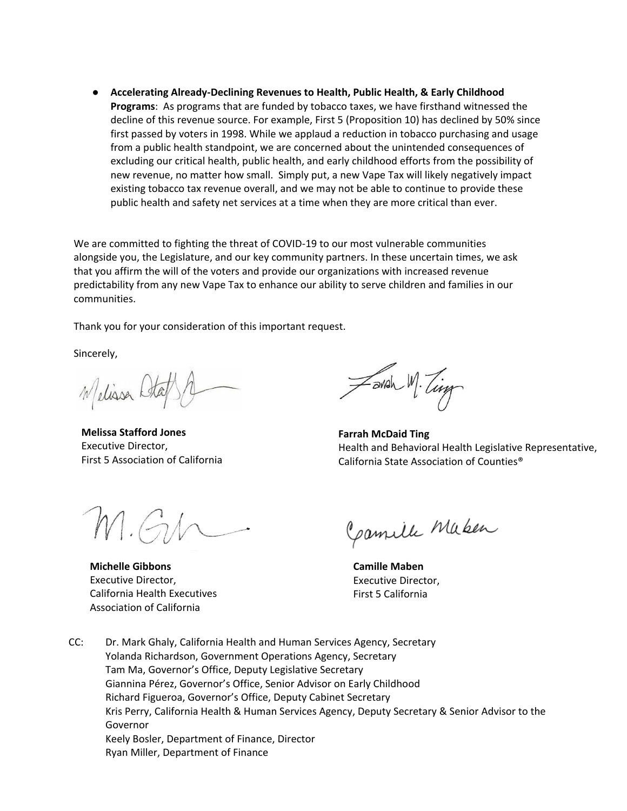● **Accelerating Already-Declining Revenues to Health, Public Health, & Early Childhood Programs**: As programs that are funded by tobacco taxes, we have firsthand witnessed the decline of this revenue source. For example, First 5 (Proposition 10) has declined by 50% since first passed by voters in 1998. While we applaud a reduction in tobacco purchasing and usage from a public health standpoint, we are concerned about the unintended consequences of excluding our critical health, public health, and early childhood efforts from the possibility of new revenue, no matter how small. Simply put, a new Vape Tax will likely negatively impact existing tobacco tax revenue overall, and we may not be able to continue to provide these public health and safety net services at a time when they are more critical than ever.

We are committed to fighting the threat of COVID-19 to our most vulnerable communities alongside you, the Legislature, and our key community partners. In these uncertain times, we ask that you affirm the will of the voters and provide our organizations with increased revenue predictability from any new Vape Tax to enhance our ability to serve children and families in our communities.

Thank you for your consideration of this important request.

Sincerely,

Welisser Sta

**Melissa Stafford Jones**  Executive Director, First 5 Association of California

M.G.h

**Michelle Gibbons** Executive Director, California Health Executives Association of California

Zavah M. Ting

**Farrah McDaid Ting** Health and Behavioral Health Legislative Representative, California State Association of Counties®

Camille Maken

**Camille Maben** Executive Director, First 5 California

CC: Dr. Mark Ghaly, California Health and Human Services Agency, Secretary Yolanda Richardson, Government Operations Agency, Secretary Tam Ma, Governor's Office, Deputy Legislative Secretary Giannina Pérez, Governor's Office, Senior Advisor on Early Childhood Richard Figueroa, Governor's Office, Deputy Cabinet Secretary Kris Perry, California Health & Human Services Agency, Deputy Secretary & Senior Advisor to the Governor Keely Bosler, Department of Finance, Director Ryan Miller, Department of Finance